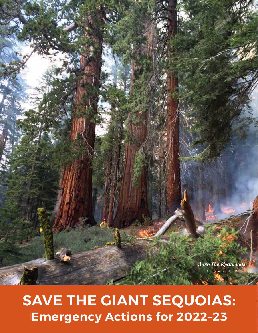

# **SAVE THE GIANT SEQUOIAS: Emergency Actions for 2022–23**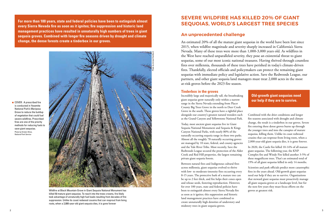**For more than 100 years, state and federal policies have been to extinguish almost every Sierra Nevada fire as soon as it ignites; fire suppression and historic land management practices have resulted in unnaturally high numbers of trees in giant sequoia groves. Combined with longer fire seasons driven by drought and climate change, the dense forests create a tinderbox in our groves.**

# **SEVERE WILDFIRE HAS KILLED 20% OF GIANT SEQUOIAS, WORLD'S LARGEST TREE SPECIES**

## **An unprecedented challenge**

COVER: A prescribed fire is conducted in Yosemite National Park's Mariposa Grove to reduce the buildup of vegetation that could fuel severe wildfires. Prescribed fires are one of the priority methods for reducing fuels to save giant sequoias. Photo by Kristen Shive, National Park Service



Wildfire at Black Mountain Grove in Giant Sequoia National Monument has killed 50 mature giant sequoias. To reach into the trees crowns, fire likely took advantage of unnaturally high fuel loads resulting from decades of fire suppression. Unlike its coast redwood cousins that can resprout from living roots, when a 2,000-year-old giant sequoia dies, it is gone forever

An estimated 20% of all the mature giant sequoias in the world have been lost since 2015, when wildfire magnitude and severity sharply increased in California's Sierra Nevada. Many of these trees were more than 1,000-3,000 years old. As wildfires in the West have reached unparalleled severity, they pose an existential threat to giant sequoias, some of our most iconic national treasures. Having thrived through countless fires over millennia, thousands of these trees have perished in today's climate-driven fires. Thankfully, elected officials and policymakers can protect the remaining giant sequoias with immediate policy and legislative action. Save the Redwoods League, our partners, and other giant sequoia land managers must treat 2,000 acres in the most at-risk groves before the 2023 fire season.

## **Tinderbox in the groves**

Incredibly large and majestically tall, the breathtaking giant sequoias grow naturally only within a narrow range in the Sierra Nevada extending from Placer County Big Trees Grove in the north to Deer Creek Grove in the south. These groves have a rightful place alongside our country's greatest natural wonders such as the Grand Canyon and Yellowstone National Park.

Today, most ancient giant sequoias live in Giant Sequoia National Monument and Sequoia & Kings Canyon National Parks, with nearly 80% of the naturally occurring sequoia range in these two parks. Almost all the roughly 78 naturally occurring groves are managed by 10 state, federal, and county agencies and the Tule River Tribe. Most recently, Save the Redwoods League secured the protection of the Alder Creek and Red Hill properties, the largest remaining private giant sequoia forests.

Between natural fires and Indigenous cultural fires across millennia, giant sequoias evolved to thrive with low- to moderate-intensity fires occurring every 8-15 years. The protective bark of a mature tree can be up to 2 feet thick, and fire helps their cones open and release seeds, fostering reproduction. However, for over 100 years, state and federal policies have been to extinguish almost every Sierra Nevada fire as soon as it ignites; this suppression and historic land management practices have combined to create unnaturally high densities of understory and midstory trees in giant sequoia groves.

Combined with the drier conditions and longer fire seasons associated with drought and climate change, the result is a tinderbox in our groves. Severe fire entering these dense groves burns up through the younger trees and into the canopies of mature sequoias, killing them. Unlike its coast redwood cousins that can resprout from living roots, when a 2,000-year-old giant sequoia dies, it is gone forever.

In 2020, the Castle fire killed 10-14% of all mature giant sequoias. The following year, the KNP Complex fire and Windy Fire killed another 3-5% of these magnificent trees. That's an estimated total of 19% of all giant sequoias killed in only 14 months.

Scientists and park officials predict more catastrophic fires in the years ahead. Old-growth giant sequoias need our help if they are to survive. Organizations that steward giant sequoias must proactively manage all giant sequoia groves at a landscape level, but for the next few years they must focus efforts on the groves at greatest risk.

## **Old-growth giant sequoias need our help if they are to survive.**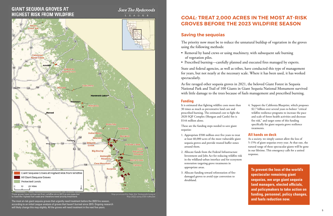## **GIANT SEQUOIA GROVES AT HIGHEST RISK FROM WILDFIRE**







es have not burned from wildfire since 2015 so are expected e the highest fuel loads and therefore need priority treatment.

Map produced by Save the Redwoods League May 2022 using ESRI softwa

The most at-risk giant sequoia groves that urgently need treatment before the 2023 fire season, according to an initial League analysis of groves that haven't burned since 2015. Ongoing research will likely change this map slightly. All the groves will need treatment in the next five years.

# *GOAL:* **TREAT 2,000 ACRES IN THE MOST AT-RISK GROVES BEFORE THE 2023 WILDFIRE SEASON**

## **Saving the sequoias**

The priority now must be to reduce the unnatural buildup of vegetation in the groves using the following methods:

- Removal by hand crews or using machinery, with subsequent safe burning of vegetation piles.
- Prescribed burning—carefully planned and executed fires managed by experts.

State and federal agencies, as well as tribes, have conducted this type of management for years, but not nearly at the necessary scale. Where it has been used, it has worked spectacularly.

As fire ravaged other sequoia groves in 2021, the beloved Giant Forest in Sequoia National Park and Trail of 100 Giants in Giant Sequoia National Monument survived with little damage to the trees because of fuels management and prescribed burning.

> **To prevent the loss of the world's spectacular remaining giant sequoias, we urge giant sequoia land managers, elected officials, and policymakers to take action on funding, personnel, policy changes, and fuels reduction now.**

## **Funding**

It is estimated that fighting wildfire costs more than 30 times as much as preventative land care and prescribed burning. The estimated cost to fight the 2020 SQF Complex (Shotgun and Castle) fire is \$144 million alone.

These are the funding steps needed to save giant sequoias:

- 1. Appropriate \$500 million over five years to treat at least 60,000 acres of the most vulnerable giant sequoia groves and provide treated buffer zones around them.
- 2. Allocate funds from the Federal Infrastructure Investment and Jobs Act for reducing wildfire risk in the wildland-urban interface and for ecosystem restoration targeting grove treatments in appropriate areas.
- 3. Allocate funding toward reforestation of firedamaged groves to avoid type conversion to shrubland.

4. Support the California Blueprint, which proposes \$2.7 billion over several years to bolster "critical wildfire resilience programs to increase the pace and scale of forest health activities and decrease fire risk," and target some of this funding specifically for giant sequoia grove resilience treatments.

## **All hands on deck**

As a society, we simply cannot allow the loss of 5-15% of giant sequoias every year. At that rate, the natural range of these spectacular giants will be gone in our lifetime. This emergency calls for a united response.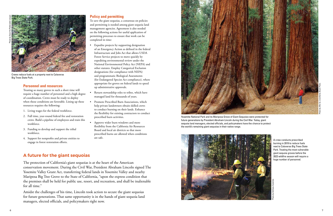### **Personnel and resources**

Treating so many groves in such a short time will require a huge number of personnel and a high degree of coordination. Crews must be ready to deploy when those conditions are favorable. Lining up these resources requires the following:

- 1. Living wages for the federal workforce.
- 2. Full time, year-round federal fire and restoration crews. Build a pipeline of employees and train this workforce.
- 3. Funding to develop and support the tribal workforce.
- 4. Support for nonprofits and private entities to



burning in 2019 to reduce fuels next to Calaveras Big Trees State Park. Treating the most vulnerable giant sequoia groves before the 2023 wildfire season will require a huge number of personnel.

## **A future for the giant sequoias**

The protection of California's giant sequoias is at the heart of the American conservation movement. During the Civil War, President Abraham Lincoln signed The Yosemite Valley Grant Act, transferring federal lands in Yosemite Valley and nearby Mariposa Big Tree Grove to the State of California, "upon the express condition that the premises shall be held for public use, resort, and recreation, and shall be inalienable for all time."

Amidst the challenges of his time, Lincoln took action to secure the giant sequoias for future generations. That same opportunity is in the hands of giant sequoia land managers, elected officials, and policymakers right now.



Yosemite National Park and its Mariposa Grove of Giant Sequoias were protected for future generations by President Abraham Lincoln during the Civil War. Today, giant sequoia land managers, elected officials, and policymakers have the chance to protect the world's remaining giant sequoias in their native range.

### **Policy and permitting**

To save the giant sequoias, a consensus on policies and permitting is needed among giant sequoia land management agencies. Agreement is also needed on the following actions for useful application of permitting processes to ensure that work can be completed in time:

- Expedite projects by supporting designation of an Emergency Action as defined in the federal Infrastructure and Jobs Act that allows USDA Forest Service projects to move quickly by expediting environmental review under the National Environmental Policy Act (NEPA) and other statutes. Employ Categorical Exclusion designations (for compliance with NEPA) and programmatic Biological Assessments (for Endangered Species Act compliance), where appropriate for groves on federal lands to speed up administrative approvals.
- Return stewardship roles to tribes, which have managed land for thousands of years.
- Promote Prescribed Burn Associations, which help private landowners obtain skilled crews to conduct burning on their lands. Enhance the flexibility for existing contractors to conduct prescribed burn activities.
- Approve wider burn windows and more flexibility from the California Air Resources Board and local air districts so that more prescribed burns are allowed when conditions are safe.



Crews reduce fuels at a property next to Calaveras Big Trees State Park.